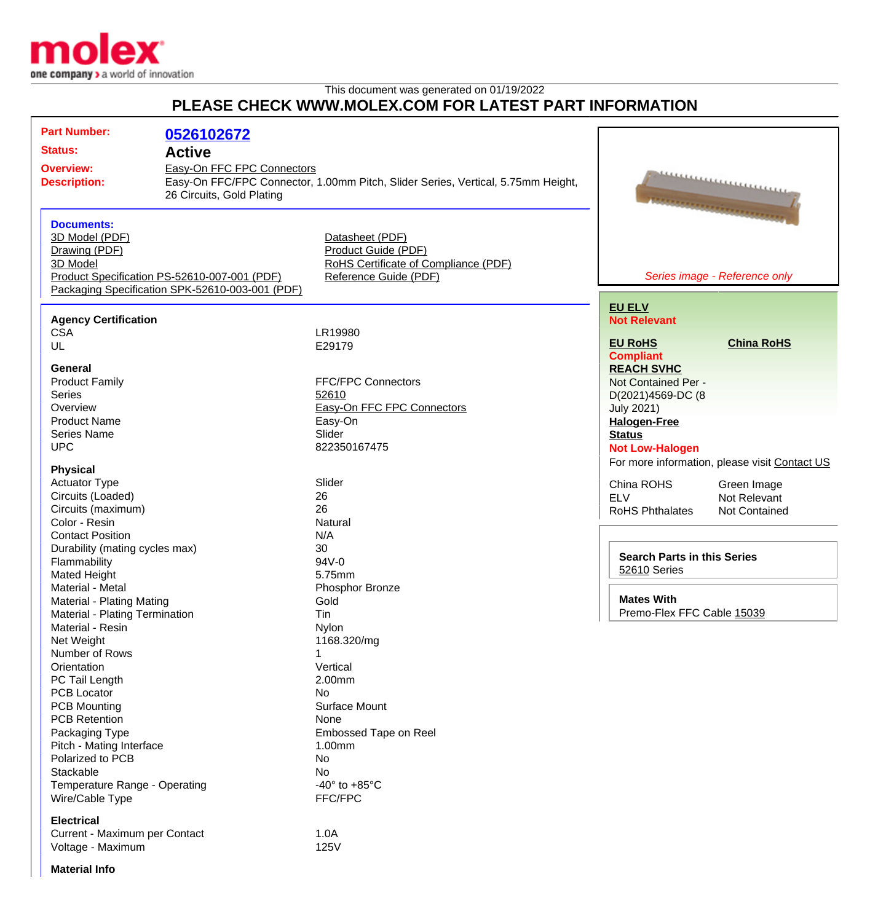

This document was generated on 01/19/2022

## **PLEASE CHECK WWW.MOLEX.COM FOR LATEST PART INFORMATION**

|  | <b>Part Number:</b><br><b>Status:</b><br><b>Overview:</b><br><b>Description:</b>                                                                                                                                                                                                           | 0526102672<br><b>Active</b><br>Easy-On FFC FPC Connectors<br>Easy-On FFC/FPC Connector, 1.00mm Pitch, Slider Series, Vertical, 5.75mm Height,<br>26 Circuits, Gold Plating |                                                                                                                                                                                     | ,,,,,,,,,,,,,,,,,,,,,,,,,,,                                                                                                                          |                                               |
|--|--------------------------------------------------------------------------------------------------------------------------------------------------------------------------------------------------------------------------------------------------------------------------------------------|----------------------------------------------------------------------------------------------------------------------------------------------------------------------------|-------------------------------------------------------------------------------------------------------------------------------------------------------------------------------------|------------------------------------------------------------------------------------------------------------------------------------------------------|-----------------------------------------------|
|  | <b>Documents:</b><br>3D Model (PDF)<br>Drawing (PDF)<br>3D Model                                                                                                                                                                                                                           | Product Specification PS-52610-007-001 (PDF)<br>Packaging Specification SPK-52610-003-001 (PDF)                                                                            | Datasheet (PDF)<br>Product Guide (PDF)<br>RoHS Certificate of Compliance (PDF)<br>Reference Guide (PDF)                                                                             |                                                                                                                                                      | Series image - Reference only                 |
|  | <b>Agency Certification</b><br><b>CSA</b><br>UL                                                                                                                                                                                                                                            |                                                                                                                                                                            | LR19980<br>E29179                                                                                                                                                                   | <b>EU ELV</b><br><b>Not Relevant</b><br><b>EU RoHS</b><br><b>Compliant</b>                                                                           | <b>China RoHS</b>                             |
|  | General<br><b>Product Family</b><br><b>Series</b><br>Overview<br><b>Product Name</b><br><b>Series Name</b><br><b>UPC</b>                                                                                                                                                                   | <b>FFC/FPC Connectors</b><br>52610<br>Easy-On FFC FPC Connectors<br>Easy-On<br>Slider<br>822350167475                                                                      |                                                                                                                                                                                     | <b>REACH SVHC</b><br>Not Contained Per -<br>D(2021)4569-DC (8<br><b>July 2021)</b><br><b>Halogen-Free</b><br><b>Status</b><br><b>Not Low-Halogen</b> | For more information, please visit Contact US |
|  | <b>Physical</b><br><b>Actuator Type</b><br>Circuits (Loaded)<br>Circuits (maximum)<br>Color - Resin<br><b>Contact Position</b><br>Durability (mating cycles max)<br>Flammability<br><b>Mated Height</b><br>Material - Metal<br>Material - Plating Mating<br>Material - Plating Termination |                                                                                                                                                                            | Slider<br>26<br>26<br>Natural<br>N/A<br>30<br>94V-0<br>5.75mm<br>Phosphor Bronze<br>Gold                                                                                            | China ROHS<br><b>ELV</b><br><b>RoHS Phthalates</b><br><b>Search Parts in this Series</b>                                                             | Green Image<br>Not Relevant<br>Not Contained  |
|  |                                                                                                                                                                                                                                                                                            |                                                                                                                                                                            |                                                                                                                                                                                     | 52610 Series<br><b>Mates With</b><br>Premo-Flex FFC Cable 15039                                                                                      |                                               |
|  | Material - Resin<br>Net Weight<br>Number of Rows<br>Orientation<br>PC Tail Length<br><b>PCB Locator</b><br><b>PCB Mounting</b><br><b>PCB Retention</b><br>Packaging Type<br>Pitch - Mating Interface<br>Polarized to PCB<br>Stackable<br>Temperature Range - Operating<br>Wire/Cable Type  |                                                                                                                                                                            | Tin<br>Nylon<br>1168.320/mg<br>1<br>Vertical<br>2.00mm<br>No<br>Surface Mount<br>None<br>Embossed Tape on Reel<br>1.00mm<br>No<br>No<br>-40 $\degree$ to +85 $\degree$ C<br>FFC/FPC |                                                                                                                                                      |                                               |
|  | <b>Electrical</b><br>Current - Maximum per Contact<br>Voltage - Maximum                                                                                                                                                                                                                    |                                                                                                                                                                            | 1.0A<br><b>125V</b>                                                                                                                                                                 |                                                                                                                                                      |                                               |

**Material Info**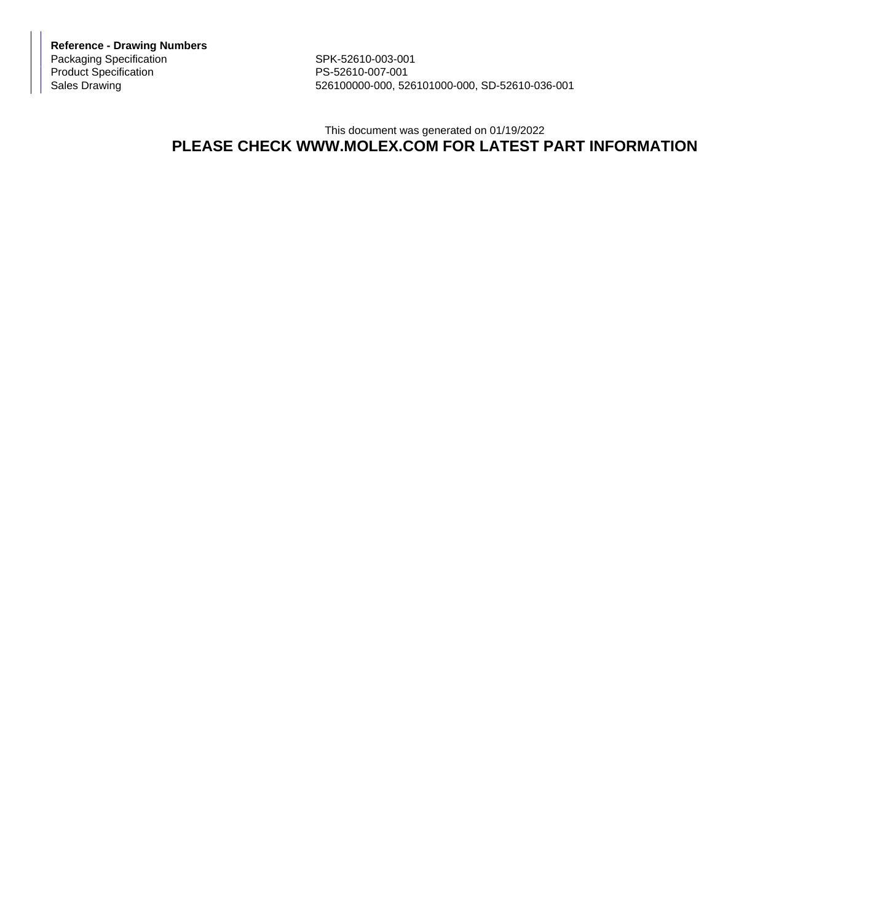**Reference - Drawing Numbers** Packaging Specification SPK-52610-003-001 Product Specification PS-52610-007-001

526100000-000, 526101000-000, SD-52610-036-001

## This document was generated on 01/19/2022 **PLEASE CHECK WWW.MOLEX.COM FOR LATEST PART INFORMATION**